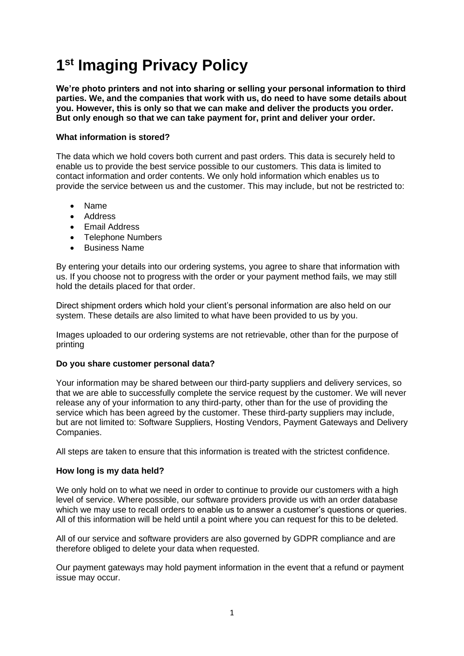# **1 st Imaging Privacy Policy**

**We're photo printers and not into sharing or selling your personal information to third parties. We, and the companies that work with us, do need to have some details about you. However, this is only so that we can make and deliver the products you order. But only enough so that we can take payment for, print and deliver your order.**

## **What information is stored?**

The data which we hold covers both current and past orders. This data is securely held to enable us to provide the best service possible to our customers. This data is limited to contact information and order contents. We only hold information which enables us to provide the service between us and the customer. This may include, but not be restricted to:

- Name
- Address
- Email Address
- Telephone Numbers
- Business Name

By entering your details into our ordering systems, you agree to share that information with us. If you choose not to progress with the order or your payment method fails, we may still hold the details placed for that order.

Direct shipment orders which hold your client's personal information are also held on our system. These details are also limited to what have been provided to us by you.

Images uploaded to our ordering systems are not retrievable, other than for the purpose of printing

## **Do you share customer personal data?**

Your information may be shared between our third-party suppliers and delivery services, so that we are able to successfully complete the service request by the customer. We will never release any of your information to any third-party, other than for the use of providing the service which has been agreed by the customer. These third-party suppliers may include, but are not limited to: Software Suppliers, Hosting Vendors, Payment Gateways and Delivery Companies.

All steps are taken to ensure that this information is treated with the strictest confidence.

## **How long is my data held?**

We only hold on to what we need in order to continue to provide our customers with a high level of service. Where possible, our software providers provide us with an order database which we may use to recall orders to enable us to answer a customer's questions or queries. All of this information will be held until a point where you can request for this to be deleted.

All of our service and software providers are also governed by GDPR compliance and are therefore obliged to delete your data when requested.

Our payment gateways may hold payment information in the event that a refund or payment issue may occur.